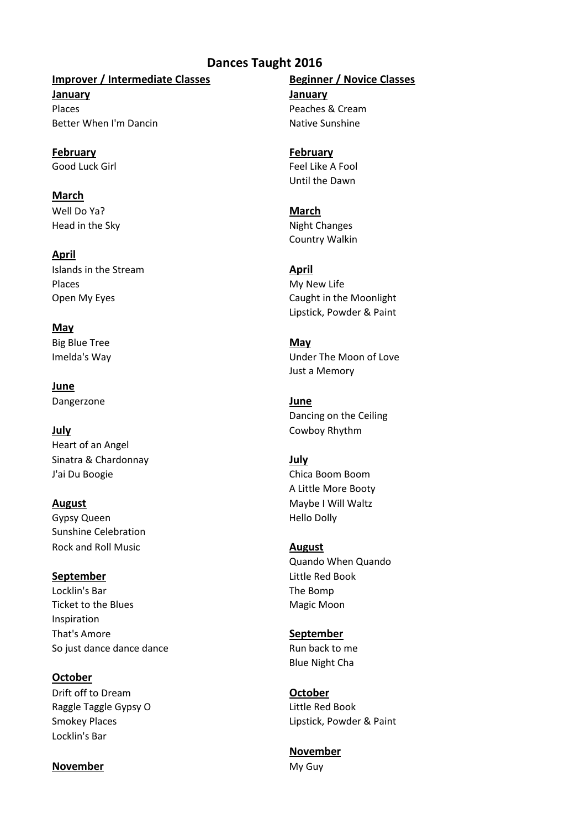# **Dances Taught 2016**

## **Improver / Intermediate Classes Beginner / Novice Classes**

**January January** Places Peaches & Cream Better When I'm Dancin Native Sunshine

**February February**

**March** Well Do Ya? **March** Head in the Sky Night Changes

**April**

**Islands in the Stream <b>April** 151 and 161 and 161 and 161 and 161 and 161 and 161 and 161 and 161 and 161 and 161 and 161 and 161 and 161 and 161 and 161 and 161 and 161 and 161 and 161 and 161 and 161 and 161 and 161 and Places My New Life

**May**

Big Blue Tree **May** 

**June** Dangerzone **June**

**July** Cowboy Rhythm Heart of an Angel Sinatra & Chardonnay **July**

**August** Maybe I Will Waltz Gypsy Queen **Hello Dolly** Sunshine Celebration Rock and Roll Music **August August** 

Locklin's Bar The Bomp Ticket to the Blues and the Magic Moon Inspiration That's Amore **September** So just dance dance dance  $\frac{1}{2}$  Run back to me

**October** Drift off to Dream **October** Raggle Taggle Gypsy O Little Red Book Locklin's Bar

### **November** My Guy

Good Luck Girl Feel Like A Fool Until the Dawn

Country Walkin

Open My Eyes **Caught in the Moonlight** Caught in the Moonlight Lipstick, Powder & Paint

Imelda's Way **Imelda's Way Under The Moon of Love** Just a Memory

Dancing on the Ceiling

J'ai Du Boogie Chica Boom Boom A Little More Booty

Quando When Quando **September** Little Red Book

Blue Night Cha

Smokey Places **Lipstick**, Powder & Paint

**November**